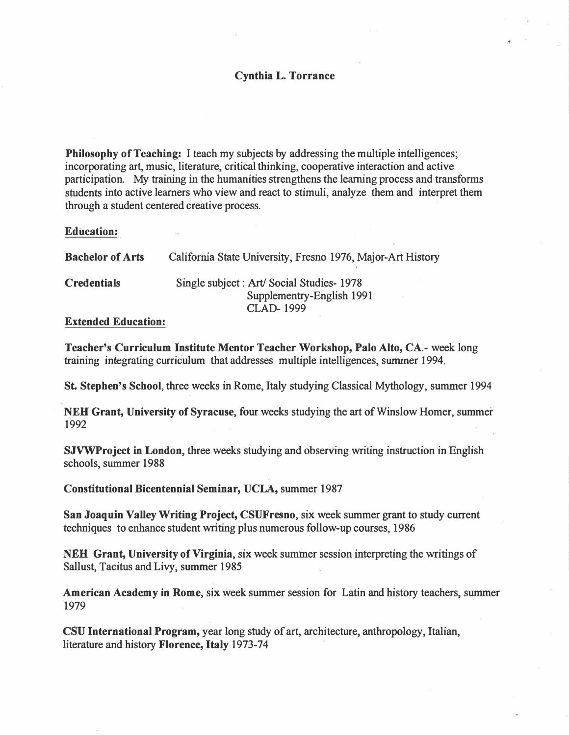# **Cynthia L. Torrance**

**Philosophy of Teaching:** I teach my subjects by addressing the multiple intelligences; incorporating art, music, literature, critical thinking, cooperative interaction and active participation. My training in the humanities strengthens the learning process and transforms students into active learners who view and react to stimuli, analyze them and interpret them through a student centered creative process.

## **Education:**

| <b>Bachelor of Arts</b> | California State University, Fresno 1976, Major-Art History                                |
|-------------------------|--------------------------------------------------------------------------------------------|
| <b>Credentials</b>      | Single subject : Art/ Social Studies-1978<br>Supplementry-English 1991<br><b>CLAD-1999</b> |
|                         |                                                                                            |

## **Extended Education:**

**Teacher's Curriculum Institute Mentor Teacher Workshop, Palo Alto, CA.-** week long training integrating curriculum that addresses multiple intelligences, summer 1994.

**St. Stephen's School, three weeks in Rome, Italy studying Classical Mythology, summer 1994** 

**NEH Grant, University of Syracuse,** four weeks studying the art of Winslow Homer, summer 1992

**SJVWProject in London,** three weeks studying and observing writing instruction in English schools, summer 1988

**Constitutional Bicentennial Seminar, UCLA,** summer 1987

**San Joaquin Valley Writing Project, CSUFresno,** six week summer grant to study current techniques to enhance student writing plus numerous follow-up courses, 1986

NEB **Grant, University of Virginia,** six week summer session interpreting the writings of Sallust, Tacitus and Livy, summer 1985

**American Academy** in **Rome,** six week summer session for Latin and history teachers, summer 1979

**CSU International Program,** year long study of art, architecture, anthropology, Italian, literature and history **Florence, Italy** 1973-74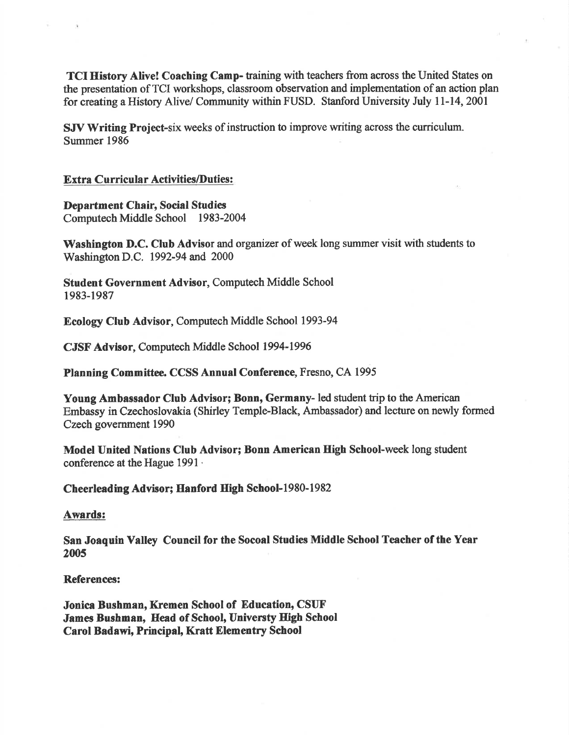TCI History Alive! Coaching Camp- taining with teachers from across the United States on the presentation of TCI workshops, classroom observation and implementation of an action plan for creating a History Alive/ Community within FUSD. Stanford University July 11-14, 2001

SJV Writing Project-six weeks of instruction to improve writing across the curriculum. Summer 1986

### Extra Curricular Activities/Duties:

I)epartment Chair, Social Studies Computech Middle School 1983-2004

Washington D.C. Club Advisor and organizer of week long summer visit with students to Washington D.C. 1992-94 and 2000

Student Government Advisor, Computech Middle School 1983-1987

Ecology Club Advisor, Computech Middle School 1993-94

CJSF Advisor, Computech Middle School 1994-1996

Planning Committee. CCSS Annual Conference, Fresno, CA 1995

Young Ambassador Club Advisor; Bonn, Germany- led student trip to the American Embassy in Czechoslovakia (Shirley Temple-Black, Ambassador) and lecture on newly formed Czech government 1990

Model United Nations Club Advisor; Bonn American High School-week long student conference at the Hague 1991 .

Cheerleading Advisor; Hanford High School-1980-1982

Awards:

San Joaquin Valley Council for the Socoal Studies Middle School Teacher of the Year 2005

#### References:

Jonica Bushman, Kremen School of Education, CSUF James Bushman, Head of School, Universty High School Carol Badawi, Principal, Kratt Elementry School